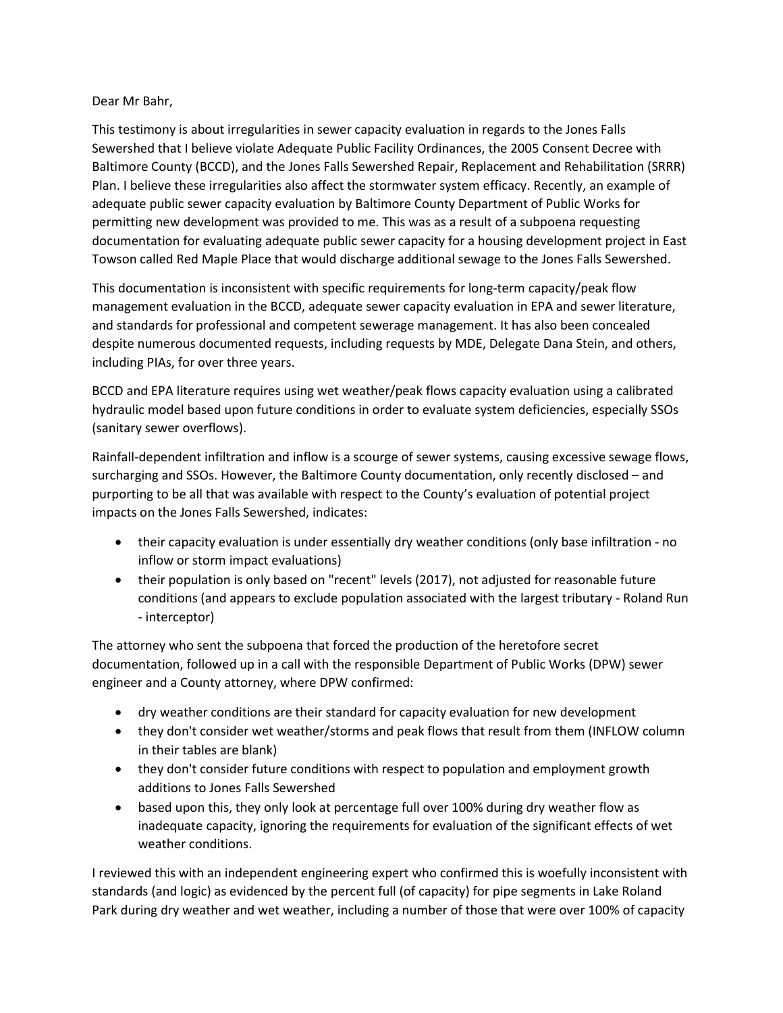## Dear Mr Bahr,

This testimony is about irregularities in sewer capacity evaluation in regards to the Jones Falls Sewershed that I believe violate Adequate Public Facility Ordinances, the 2005 Consent Decree with Baltimore County (BCCD), and the Jones Falls Sewershed Repair, Replacement and Rehabilitation (SRRR) Plan. I believe these irregularities also affect the stormwater system efficacy. Recently, an example of adequate public sewer capacity evaluation by Baltimore County Department of Public Works for permitting new development was provided to me. This was as a result of a subpoena requesting documentation for evaluating adequate public sewer capacity for a housing development project in East Towson called Red Maple Place that would discharge additional sewage to the Jones Falls Sewershed.

This documentation is inconsistent with specific requirements for long-term capacity/peak flow management evaluation in the BCCD, adequate sewer capacity evaluation in EPA and sewer literature, and standards for professional and competent sewerage management. It has also been concealed despite numerous documented requests, including requests by MDE, Delegate Dana Stein, and others, including PIAs, for over three years.

BCCD and EPA literature requires using wet weather/peak flows capacity evaluation using a calibrated hydraulic model based upon future conditions in order to evaluate system deficiencies, especially SSOs (sanitary sewer overflows).

Rainfall-dependent infiltration and inflow is a scourge of sewer systems, causing excessive sewage flows, surcharging and SSOs. However, the Baltimore County documentation, only recently disclosed – and purporting to be all that was available with respect to the County's evaluation of potential project impacts on the Jones Falls Sewershed, indicates:

- their capacity evaluation is under essentially dry weather conditions (only base infiltration no inflow or storm impact evaluations)
- their population is only based on "recent" levels (2017), not adjusted for reasonable future conditions (and appears to exclude population associated with the largest tributary - Roland Run - interceptor)

The attorney who sent the subpoena that forced the production of the heretofore secret documentation, followed up in a call with the responsible Department of Public Works (DPW) sewer engineer and a County attorney, where DPW confirmed:

- dry weather conditions are their standard for capacity evaluation for new development
- they don't consider wet weather/storms and peak flows that result from them (INFLOW column in their tables are blank)
- they don't consider future conditions with respect to population and employment growth additions to Jones Falls Sewershed
- based upon this, they only look at percentage full over 100% during dry weather flow as inadequate capacity, ignoring the requirements for evaluation of the significant effects of wet weather conditions.

I reviewed this with an independent engineering expert who confirmed this is woefully inconsistent with standards (and logic) as evidenced by the percent full (of capacity) for pipe segments in Lake Roland Park during dry weather and wet weather, including a number of those that were over 100% of capacity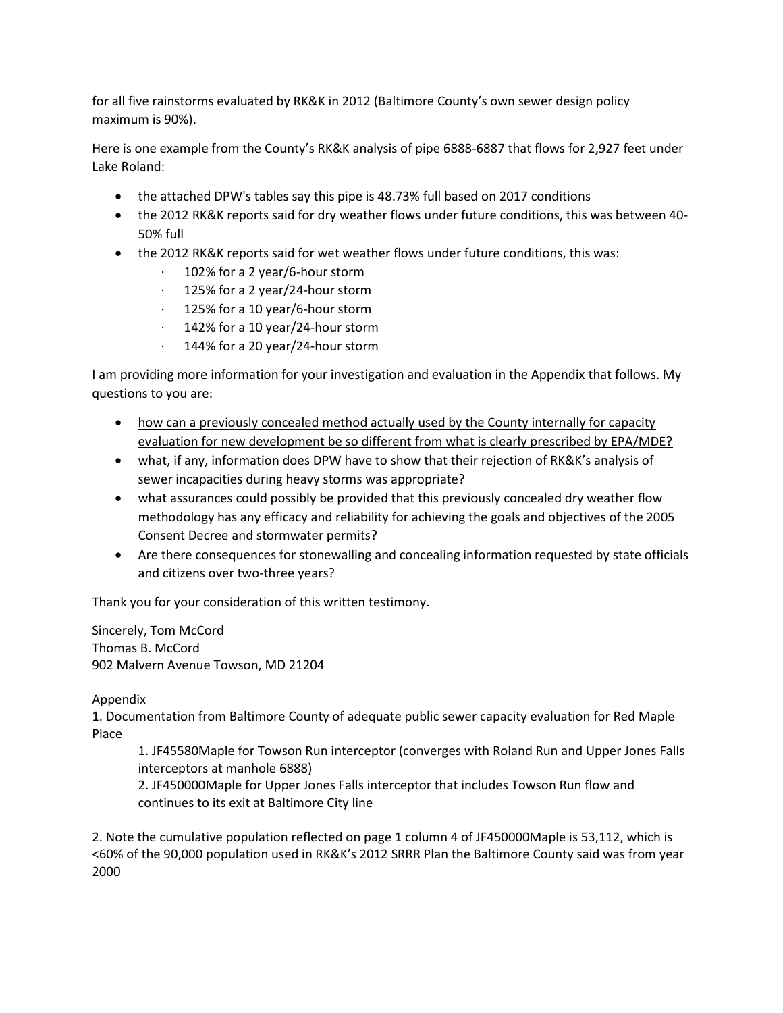for all five rainstorms evaluated by RK&K in 2012 (Baltimore County's own sewer design policy maximum is 90%).

Here is one example from the County's RK&K analysis of pipe 6888-6887 that flows for 2,927 feet under Lake Roland:

- the attached DPW's tables say this pipe is 48.73% full based on 2017 conditions
- the 2012 RK&K reports said for dry weather flows under future conditions, this was between 40- 50% full
- the 2012 RK&K reports said for wet weather flows under future conditions, this was:
	- 102% for a 2 year/6-hour storm
	- · 125% for a 2 year/24-hour storm
	- · 125% for a 10 year/6-hour storm
	- · 142% for a 10 year/24-hour storm
	- · 144% for a 20 year/24-hour storm

I am providing more information for your investigation and evaluation in the Appendix that follows. My questions to you are:

- how can a previously concealed method actually used by the County internally for capacity evaluation for new development be so different from what is clearly prescribed by EPA/MDE?
- what, if any, information does DPW have to show that their rejection of RK&K's analysis of sewer incapacities during heavy storms was appropriate?
- what assurances could possibly be provided that this previously concealed dry weather flow methodology has any efficacy and reliability for achieving the goals and objectives of the 2005 Consent Decree and stormwater permits?
- Are there consequences for stonewalling and concealing information requested by state officials and citizens over two-three years?

Thank you for your consideration of this written testimony.

Sincerely, Tom McCord Thomas B. McCord 902 Malvern Avenue Towson, MD 21204

## Appendix

1. Documentation from Baltimore County of adequate public sewer capacity evaluation for Red Maple Place

1. JF45580Maple for Towson Run interceptor (converges with Roland Run and Upper Jones Falls interceptors at manhole 6888)

2. JF450000Maple for Upper Jones Falls interceptor that includes Towson Run flow and continues to its exit at Baltimore City line

2. Note the cumulative population reflected on page 1 column 4 of JF450000Maple is 53,112, which is <60% of the 90,000 population used in RK&K's 2012 SRRR Plan the Baltimore County said was from year 2000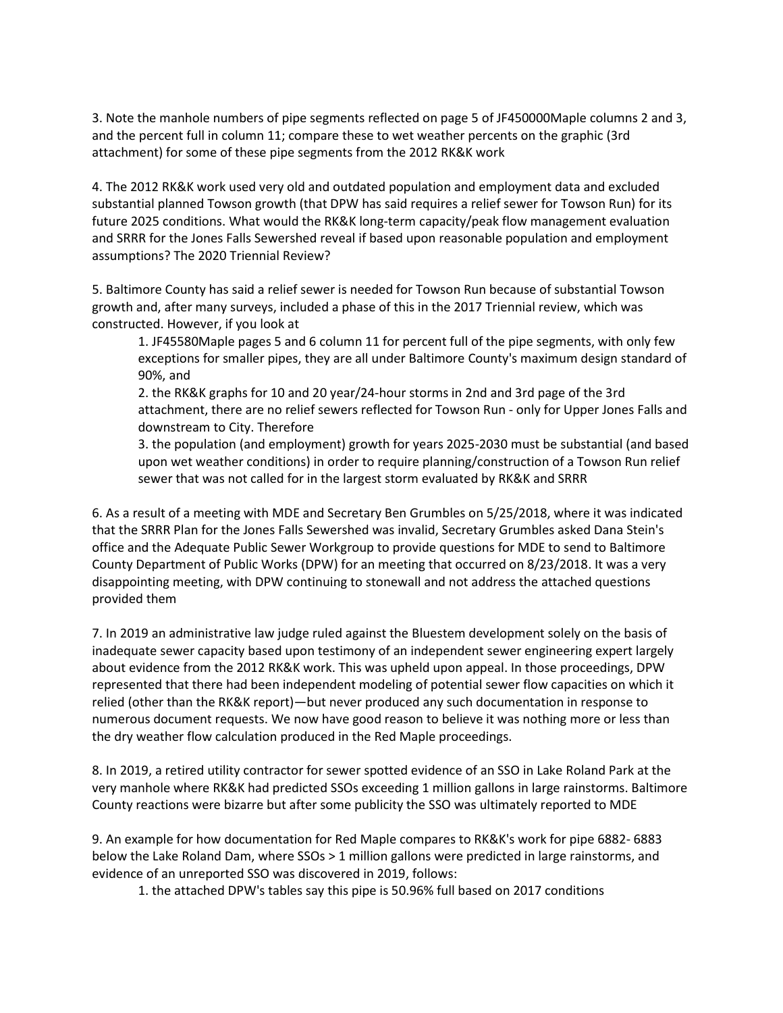3. Note the manhole numbers of pipe segments reflected on page 5 of JF450000Maple columns 2 and 3, and the percent full in column 11; compare these to wet weather percents on the graphic (3rd attachment) for some of these pipe segments from the 2012 RK&K work

4. The 2012 RK&K work used very old and outdated population and employment data and excluded substantial planned Towson growth (that DPW has said requires a relief sewer for Towson Run) for its future 2025 conditions. What would the RK&K long-term capacity/peak flow management evaluation and SRRR for the Jones Falls Sewershed reveal if based upon reasonable population and employment assumptions? The 2020 Triennial Review?

5. Baltimore County has said a relief sewer is needed for Towson Run because of substantial Towson growth and, after many surveys, included a phase of this in the 2017 Triennial review, which was constructed. However, if you look at

1. JF45580Maple pages 5 and 6 column 11 for percent full of the pipe segments, with only few exceptions for smaller pipes, they are all under Baltimore County's maximum design standard of 90%, and

2. the RK&K graphs for 10 and 20 year/24-hour storms in 2nd and 3rd page of the 3rd attachment, there are no relief sewers reflected for Towson Run - only for Upper Jones Falls and downstream to City. Therefore

3. the population (and employment) growth for years 2025-2030 must be substantial (and based upon wet weather conditions) in order to require planning/construction of a Towson Run relief sewer that was not called for in the largest storm evaluated by RK&K and SRRR

6. As a result of a meeting with MDE and Secretary Ben Grumbles on 5/25/2018, where it was indicated that the SRRR Plan for the Jones Falls Sewershed was invalid, Secretary Grumbles asked Dana Stein's office and the Adequate Public Sewer Workgroup to provide questions for MDE to send to Baltimore County Department of Public Works (DPW) for an meeting that occurred on 8/23/2018. It was a very disappointing meeting, with DPW continuing to stonewall and not address the attached questions provided them

7. In 2019 an administrative law judge ruled against the Bluestem development solely on the basis of inadequate sewer capacity based upon testimony of an independent sewer engineering expert largely about evidence from the 2012 RK&K work. This was upheld upon appeal. In those proceedings, DPW represented that there had been independent modeling of potential sewer flow capacities on which it relied (other than the RK&K report)—but never produced any such documentation in response to numerous document requests. We now have good reason to believe it was nothing more or less than the dry weather flow calculation produced in the Red Maple proceedings.

8. In 2019, a retired utility contractor for sewer spotted evidence of an SSO in Lake Roland Park at the very manhole where RK&K had predicted SSOs exceeding 1 million gallons in large rainstorms. Baltimore County reactions were bizarre but after some publicity the SSO was ultimately reported to MDE

9. An example for how documentation for Red Maple compares to RK&K's work for pipe 6882- 6883 below the Lake Roland Dam, where SSOs > 1 million gallons were predicted in large rainstorms, and evidence of an unreported SSO was discovered in 2019, follows:

1. the attached DPW's tables say this pipe is 50.96% full based on 2017 conditions